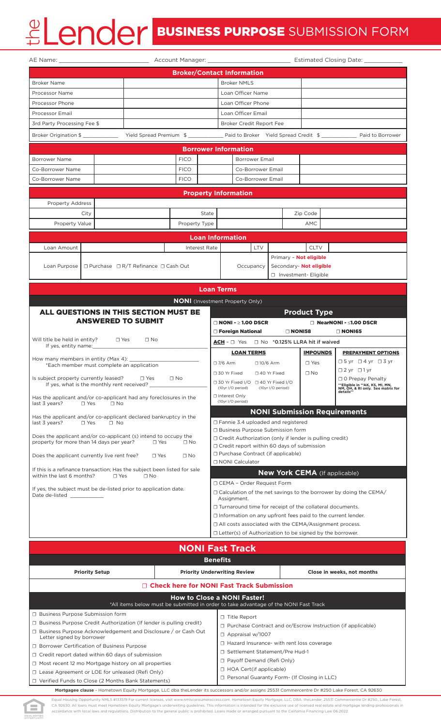|                                                                                                                                               |            |                                                      |               |                                |                                                                                                         | <b>Broker/Contact Information</b>                                                                                              |                        |                                                       |                                                                                   |  |
|-----------------------------------------------------------------------------------------------------------------------------------------------|------------|------------------------------------------------------|---------------|--------------------------------|---------------------------------------------------------------------------------------------------------|--------------------------------------------------------------------------------------------------------------------------------|------------------------|-------------------------------------------------------|-----------------------------------------------------------------------------------|--|
| <b>Broker Name</b>                                                                                                                            |            |                                                      |               |                                | <b>Broker NMLS</b>                                                                                      |                                                                                                                                |                        |                                                       |                                                                                   |  |
| Processor Name                                                                                                                                |            |                                                      |               |                                |                                                                                                         | Loan Officer Name                                                                                                              |                        |                                                       |                                                                                   |  |
| Processor Phone                                                                                                                               |            |                                                      |               |                                |                                                                                                         | Loan Officer Phone                                                                                                             |                        |                                                       |                                                                                   |  |
| <b>Processor Email</b>                                                                                                                        |            |                                                      |               |                                | Loan Officer Email                                                                                      |                                                                                                                                |                        |                                                       |                                                                                   |  |
| 3rd Party Processing Fee \$                                                                                                                   |            |                                                      |               |                                | Broker Credit Report Fee                                                                                |                                                                                                                                |                        |                                                       |                                                                                   |  |
| Broker Origination \$ ______________ Yield Spread Premium \$ ____________ Paid to Broker Yield Spread Credit \$ ___________ Paid to Borrower  |            |                                                      |               |                                |                                                                                                         |                                                                                                                                |                        |                                                       |                                                                                   |  |
|                                                                                                                                               |            |                                                      |               |                                | <b>Borrower Information</b>                                                                             |                                                                                                                                |                        |                                                       |                                                                                   |  |
| Borrower Name                                                                                                                                 |            |                                                      | <b>FICO</b>   |                                |                                                                                                         | <b>Borrower Email</b>                                                                                                          |                        |                                                       |                                                                                   |  |
| Co-Borrower Name                                                                                                                              |            | <b>FICO</b>                                          |               |                                | Co-Borrower Email                                                                                       |                                                                                                                                |                        |                                                       |                                                                                   |  |
| Co-Borrower Name                                                                                                                              |            | <b>FICO</b>                                          |               |                                | Co-Borrower Email                                                                                       |                                                                                                                                |                        |                                                       |                                                                                   |  |
|                                                                                                                                               |            |                                                      |               |                                | <b>Property Information</b>                                                                             |                                                                                                                                |                        |                                                       |                                                                                   |  |
| <b>Property Address</b>                                                                                                                       |            |                                                      |               |                                |                                                                                                         |                                                                                                                                |                        |                                                       |                                                                                   |  |
| City                                                                                                                                          |            |                                                      | State         |                                |                                                                                                         |                                                                                                                                |                        | Zip Code                                              |                                                                                   |  |
| Property Value                                                                                                                                |            |                                                      | Property Type |                                |                                                                                                         |                                                                                                                                |                        | AMC                                                   |                                                                                   |  |
|                                                                                                                                               |            |                                                      |               |                                | <b>Loan Information</b>                                                                                 |                                                                                                                                |                        |                                                       |                                                                                   |  |
| Loan Amount                                                                                                                                   |            |                                                      |               | <b>Interest Rate</b>           |                                                                                                         | <b>LTV</b>                                                                                                                     |                        | <b>CLTV</b>                                           |                                                                                   |  |
|                                                                                                                                               |            |                                                      |               |                                |                                                                                                         |                                                                                                                                | Primary - Not eligible |                                                       |                                                                                   |  |
| Loan Purpose                                                                                                                                  |            | $\Box$ Purchase $\Box$ R/T Refinance $\Box$ Cash Out |               |                                | Occupancy                                                                                               |                                                                                                                                |                        | Secondary- Not eligible                               |                                                                                   |  |
|                                                                                                                                               |            |                                                      |               |                                |                                                                                                         |                                                                                                                                | □ Investment- Eligible |                                                       |                                                                                   |  |
|                                                                                                                                               |            |                                                      |               |                                | <b>Loan Terms</b>                                                                                       |                                                                                                                                |                        |                                                       |                                                                                   |  |
|                                                                                                                                               |            |                                                      |               |                                |                                                                                                         |                                                                                                                                |                        |                                                       |                                                                                   |  |
|                                                                                                                                               |            |                                                      |               |                                |                                                                                                         | <b>NONI</b> (Investment Property Only)                                                                                         |                        |                                                       |                                                                                   |  |
| ALL QUESTIONS IN THIS SECTION MUST BE                                                                                                         |            | <b>ANSWERED TO SUBMIT</b>                            |               |                                |                                                                                                         |                                                                                                                                |                        | <b>Product Type</b>                                   |                                                                                   |  |
|                                                                                                                                               |            |                                                      |               |                                |                                                                                                         | $\Box$ NONI - $\geq$ 1.00 DSCR                                                                                                 | $\Box$ NONI58          |                                                       | $\Box$ NearNONI - $\leq$ 1.00 DSCR                                                |  |
| Will title be held in entity?                                                                                                                 | $\Box$ Yes | $\Box$ No                                            |               |                                |                                                                                                         | □ Foreign National                                                                                                             |                        | $ACH - \Box$ Yes $\Box$ No *0.125% LLRA hit if waived | $\Box$ NONI65                                                                     |  |
| If yes, entity name:_____                                                                                                                     |            |                                                      |               |                                |                                                                                                         | <b>LOAN TERMS</b>                                                                                                              |                        | <b>IMPOUNDS</b>                                       | <b>PREPAYMENT OPTIONS</b>                                                         |  |
| How many members in entity (Max 4):                                                                                                           |            |                                                      |               |                                | □ 7/6 Arm                                                                                               | $\square$ 10/6 Arm                                                                                                             |                        | $\Box$ Yes                                            | $\square$ 5 yr $\square$ 4 yr $\square$ 3 yr                                      |  |
| *Each member must complete an application                                                                                                     |            |                                                      |               |                                |                                                                                                         | □ 30 Yr Fixed □ 40 Yr Fixed                                                                                                    |                        | $\Box$ No                                             | $\Box$ 2 yr $\Box$ 1 yr                                                           |  |
| Is subject property currently leased?<br>If yes, what is the monthly rent received?                                                           |            | $\Box$ Yes                                           | $\Box$ No     |                                | □ 0 Prepay Penalty<br>□ 30 Yr Fixed I/O □ 40 Yr Fixed I/O                                               |                                                                                                                                |                        |                                                       |                                                                                   |  |
|                                                                                                                                               |            |                                                      |               |                                | (10yr I/O period)                                                                                       |                                                                                                                                | (10yr I/O period)      |                                                       | **Eligible in **AK, KS, MI, MN,<br>NM, OH, & RI only. See matrix for<br>details** |  |
| Has the applicant and/or co-applicant had any foreclosures in the<br>last 3 years?<br>$\Box$ Yes                                              | $\Box$ No  |                                                      |               |                                | □ Interest Only<br>(10yr I/O period)                                                                    |                                                                                                                                |                        |                                                       |                                                                                   |  |
| Has the applicant and/or co-applicant declared bankruptcy in the                                                                              |            |                                                      |               |                                |                                                                                                         |                                                                                                                                |                        | <b>NONI Submission Requirements</b>                   |                                                                                   |  |
| last 3 years?<br>$\Box$ Yes                                                                                                                   | $\Box$ No  |                                                      |               |                                | □ Fannie 3.4 uploaded and registered                                                                    |                                                                                                                                |                        |                                                       |                                                                                   |  |
| Does the applicant and/or co-applicant (s) intend to occupy the                                                                               |            |                                                      |               |                                | □ Business Purpose Submission form<br>□ Credit Authorization (only if lender is pulling credit)         |                                                                                                                                |                        |                                                       |                                                                                   |  |
| property for more than 14 days per year?<br>$\Box$ Yes<br>$\Box$ No                                                                           |            |                                                      |               |                                |                                                                                                         | $\Box$ Credit report within 60 days of submission                                                                              |                        |                                                       |                                                                                   |  |
| □ Purchase Contract (if applicable)<br>Does the applicant currently live rent free?<br>$\Box$ Yes<br>$\Box$ No                                |            |                                                      |               |                                |                                                                                                         |                                                                                                                                |                        |                                                       |                                                                                   |  |
| □ NONI Calculator<br>If this is a refinance transaction; Has the subject been listed for sale                                                 |            |                                                      |               |                                |                                                                                                         |                                                                                                                                |                        |                                                       |                                                                                   |  |
| within the last 6 months?<br>$\Box$ Yes<br>$\Box$ No                                                                                          |            |                                                      |               |                                | <b>New York CEMA</b> (If applicable)                                                                    |                                                                                                                                |                        |                                                       |                                                                                   |  |
| If yes, the subject must be de-listed prior to application date.                                                                              |            |                                                      |               |                                | □ CEMA - Order Request Form<br>$\Box$ Calculation of the net savings to the borrower by doing the CEMA/ |                                                                                                                                |                        |                                                       |                                                                                   |  |
| Assignment.                                                                                                                                   |            |                                                      |               |                                |                                                                                                         |                                                                                                                                |                        |                                                       |                                                                                   |  |
| □ Turnaround time for receipt of the collateral documents.                                                                                    |            |                                                      |               |                                |                                                                                                         |                                                                                                                                |                        |                                                       |                                                                                   |  |
|                                                                                                                                               |            |                                                      |               |                                |                                                                                                         | $\Box$ Information on any upfront fees paid to the current lender.<br>□ All costs associated with the CEMA/Assignment process. |                        |                                                       |                                                                                   |  |
|                                                                                                                                               |            |                                                      |               |                                |                                                                                                         | $\Box$ Letter(s) of Authorization to be signed by the borrower.                                                                |                        |                                                       |                                                                                   |  |
|                                                                                                                                               |            |                                                      |               |                                |                                                                                                         |                                                                                                                                |                        |                                                       |                                                                                   |  |
|                                                                                                                                               |            |                                                      |               |                                |                                                                                                         | <b>NONI Fast Track</b>                                                                                                         |                        |                                                       |                                                                                   |  |
|                                                                                                                                               |            |                                                      |               |                                | <b>Benefits</b>                                                                                         |                                                                                                                                |                        |                                                       |                                                                                   |  |
| <b>Priority Setup</b>                                                                                                                         |            |                                                      |               |                                | <b>Priority Underwriting Review</b>                                                                     |                                                                                                                                |                        |                                                       | Close in weeks, not months                                                        |  |
|                                                                                                                                               |            |                                                      |               |                                |                                                                                                         | $\Box$ Check here for NONI Fast Track Submission                                                                               |                        |                                                       |                                                                                   |  |
| <b>How to Close a NONI Faster!</b>                                                                                                            |            |                                                      |               |                                |                                                                                                         |                                                                                                                                |                        |                                                       |                                                                                   |  |
| *All items below must be submitted in order to take advantage of the NONI Fast Track                                                          |            |                                                      |               |                                |                                                                                                         |                                                                                                                                |                        |                                                       |                                                                                   |  |
| □ Business Purpose Submission form                                                                                                            |            |                                                      |               |                                | $\Box$ Title Report                                                                                     |                                                                                                                                |                        |                                                       |                                                                                   |  |
| $\Box$ Business Purpose Credit Authorization (If lender is pulling credit)<br>□ Business Purpose Acknowledgement and Disclosure / or Cash Out |            |                                                      |               |                                | $\Box$ Purchase Contract and or/Escrow Instruction (if applicable)                                      |                                                                                                                                |                        |                                                       |                                                                                   |  |
| Letter signed by borrower                                                                                                                     |            |                                                      |               |                                | $\Box$ Appraisal w/1007                                                                                 |                                                                                                                                |                        |                                                       |                                                                                   |  |
| □ Borrower Certification of Business Purpose                                                                                                  |            |                                                      |               |                                | □ Hazard Insurance- with rent loss coverage<br>□ Settlement Statement/Pre Hud-1                         |                                                                                                                                |                        |                                                       |                                                                                   |  |
| $\Box$ Credit report dated within 60 days of submission                                                                                       |            |                                                      |               |                                | □ Payoff Demand (Refi Only)                                                                             |                                                                                                                                |                        |                                                       |                                                                                   |  |
| $\Box$ Most recent 12 mo Mortgage history on all properties<br>□ Lease Agreement or LOE for unleased (Refi Only)                              |            |                                                      |               | $\Box$ HOA Cert(if applicable) |                                                                                                         |                                                                                                                                |                        |                                                       |                                                                                   |  |
| □ Verified Funds to Close (2 Months Bank Statements)                                                                                          |            |                                                      |               |                                | □ Personal Guaranty Form- (If Closing in LLC)                                                           |                                                                                                                                |                        |                                                       |                                                                                   |  |
| Mortgagee clause - Hometown Equity Mortgage, LLC dba theLender its successors and/or assigns 25531 Commercentre Dr #250 Lake Forest, CA 92630 |            |                                                      |               |                                |                                                                                                         |                                                                                                                                |                        |                                                       |                                                                                   |  |

Equal Housing Opportunity NMLS #133519 For current licenses, visit www.nmlsconsumeraccess.com. Hometown Equity Mortgage, LLC, DBA. theLender, 25531 Commercentre Dr #250., Lake Forest,<br>CA 92630. All loans must meet Hometown rdance with local laws and regulations. Distribution to the general public is prohibited. Loans made or arranged pursuant to the California Financing Law 06.2022

EQUAL HOUSING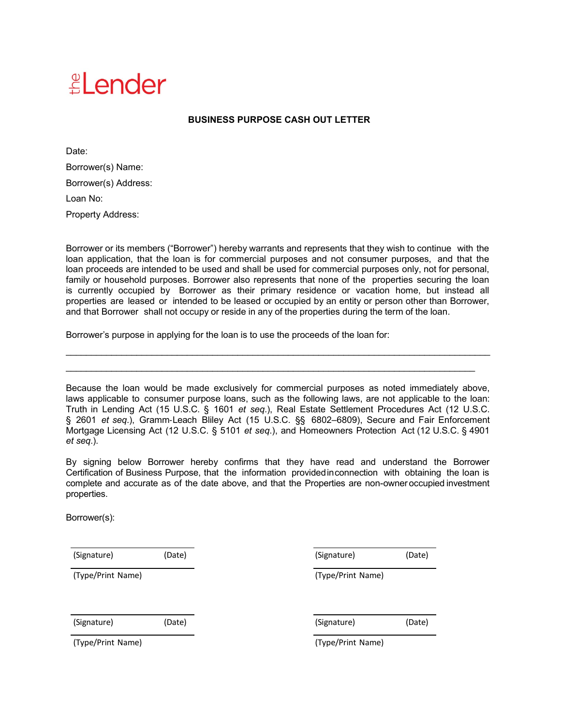## $\triangleq$  ender

## **BUSINESS PURPOSE CASH OUT LETTER**

Date: Borrower(s) Name: Borrower(s) Address: Loan No: Property Address:

Borrower or its members ("Borrower") hereby warrants and represents that they wish to continue with the loan application, that the loan is for commercial purposes and not consumer purposes, and that the loan proceeds are intended to be used and shall be used for commercial purposes only, not for personal, family or household purposes. Borrower also represents that none of the properties securing the loan is currently occupied by Borrower as their primary residence or vacation home, but instead all properties are leased or intended to be leased or occupied by an entity or person other than Borrower, and that Borrower shall not occupy or reside in any of the properties during the term of the loan.

Borrower's purpose in applying for the loan is to use the proceeds of the loan for:

Because the loan would be made exclusively for commercial purposes as noted immediately above, laws applicable to consumer purpose loans, such as the following laws, are not applicable to the loan: Truth in Lending Act (15 U.S.C. § 1601 *et seq*.), Real Estate Settlement Procedures Act (12 U.S.C. § 2601 *et seq*.), Gramm‐Leach Bliley Act (15 U.S.C. §§ 6802–6809), Secure and Fair Enforcement Mortgage Licensing Act (12 U.S.C. § 5101 *et seq*.), and Homeowners Protection Act (12 U.S.C. § 4901 *et seq*.).

\_\_\_\_\_\_\_\_\_\_\_\_\_\_\_\_\_\_\_\_\_\_\_\_\_\_\_\_\_\_\_\_\_\_\_\_\_\_\_\_\_\_\_\_\_\_\_\_\_\_\_\_\_\_\_\_\_\_\_\_\_\_\_\_\_\_\_\_\_\_\_\_\_\_\_\_\_\_\_\_\_\_\_\_ \_\_\_\_\_\_\_\_\_\_\_\_\_\_\_\_\_\_\_\_\_\_\_\_\_\_\_\_\_\_\_\_\_\_\_\_\_\_\_\_\_\_\_\_\_\_\_\_\_\_\_\_\_\_\_\_\_\_\_\_\_\_\_\_\_\_\_\_\_\_\_\_\_\_\_\_\_\_\_\_\_

By signing below Borrower hereby confirms that they have read and understand the Borrower Certification of Business Purpose, that the information providedinconnection with obtaining the loan is complete and accurate as of the date above, and that the Properties are non-owner occupied investment properties.

Borrower(s):

(Signature) (Date) (Signature) (Date)

(Type/Print Name) (Type/Print Name)

(Signature) (Date) (Signature) (Date)

(Type/Print Name) (Type/Print Name)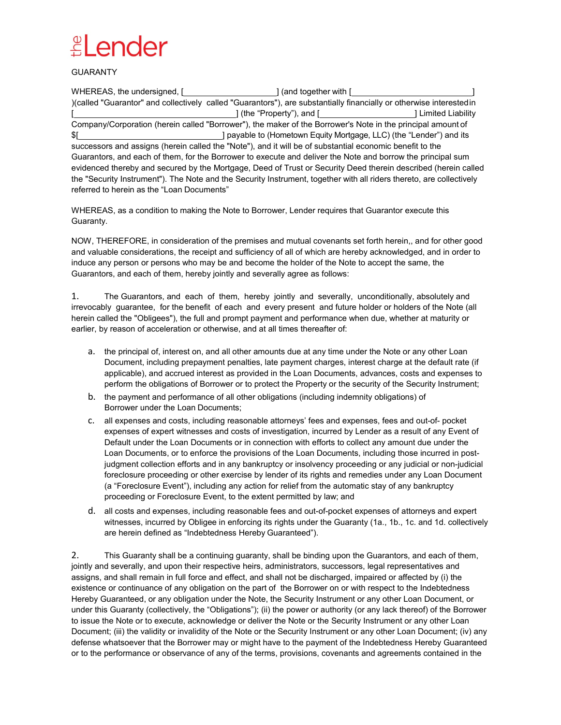## $\mathbb{E}$  ender

GUARANTY

| )(called "Guarantor" and collectively called "Guarantors"), are substantially financially or otherwise interested in                                               |                                                                         |  |
|--------------------------------------------------------------------------------------------------------------------------------------------------------------------|-------------------------------------------------------------------------|--|
|                                                                                                                                                                    | ] (the "Property"), and [___________________________] Limited Liability |  |
| Company/Corporation (herein called "Borrower"), the maker of the Borrower's Note in the principal amount of                                                        |                                                                         |  |
|                                                                                                                                                                    |                                                                         |  |
| successors and assigns (herein called the "Note"), and it will be of substantial economic benefit to the                                                           |                                                                         |  |
| Guarantors, and each of them, for the Borrower to execute and deliver the Note and borrow the principal sum                                                        |                                                                         |  |
| evidenced thereby and secured by the Mortgage, Deed of Trust or Security Deed therein described (herein called                                                     |                                                                         |  |
| the "Security Instrument"). The Note and the Security Instrument, together with all riders thereto, are collectively<br>referred to herein as the "Loan Documents" |                                                                         |  |

WHEREAS, as a condition to making the Note to Borrower, Lender requires that Guarantor execute this Guaranty.

NOW, THEREFORE, in consideration of the premises and mutual covenants set forth herein,, and for other good and valuable considerations, the receipt and sufficiency of all of which are hereby acknowledged, and in order to induce any person or persons who may be and become the holder of the Note to accept the same, the Guarantors, and each of them, hereby jointly and severally agree as follows:

1. The Guarantors, and each of them, hereby jointly and severally, unconditionally, absolutely and irrevocably guarantee, for the benefit of each and every present and future holder or holders of the Note (all herein called the "Obligees"), the full and prompt payment and performance when due, whether at maturity or earlier, by reason of acceleration or otherwise, and at all times thereafter of:

- a. the principal of, interest on, and all other amounts due at any time under the Note or any other Loan Document, including prepayment penalties, late payment charges, interest charge at the default rate (if applicable), and accrued interest as provided in the Loan Documents, advances, costs and expenses to perform the obligations of Borrower or to protect the Property or the security of the Security Instrument;
- b. the payment and performance of all other obligations (including indemnity obligations) of Borrower under the Loan Documents;
- c. all expenses and costs, including reasonable attorneys' fees and expenses, fees and out-of- pocket expenses of expert witnesses and costs of investigation, incurred by Lender as a result of any Event of Default under the Loan Documents or in connection with efforts to collect any amount due under the Loan Documents, or to enforce the provisions of the Loan Documents, including those incurred in postjudgment collection efforts and in any bankruptcy or insolvency proceeding or any judicial or non-judicial foreclosure proceeding or other exercise by lender of its rights and remedies under any Loan Document (a "Foreclosure Event"), including any action for relief from the automatic stay of any bankruptcy proceeding or Foreclosure Event, to the extent permitted by law; and
- d. all costs and expenses, including reasonable fees and out-of-pocket expenses of attorneys and expert witnesses, incurred by Obligee in enforcing its rights under the Guaranty (1a., 1b., 1c. and 1d. collectively are herein defined as "Indebtedness Hereby Guaranteed").

2. This Guaranty shall be a continuing guaranty, shall be binding upon the Guarantors, and each of them, jointly and severally, and upon their respective heirs, administrators, successors, legal representatives and assigns, and shall remain in full force and effect, and shall not be discharged, impaired or affected by (i) the existence or continuance of any obligation on the part of the Borrower on or with respect to the Indebtedness Hereby Guaranteed, or any obligation under the Note, the Security Instrument or any other Loan Document, or under this Guaranty (collectively, the "Obligations"); (ii) the power or authority (or any lack thereof) of the Borrower to issue the Note or to execute, acknowledge or deliver the Note or the Security Instrument or any other Loan Document; (iii) the validity or invalidity of the Note or the Security Instrument or any other Loan Document; (iv) any defense whatsoever that the Borrower may or might have to the payment of the Indebtedness Hereby Guaranteed or to the performance or observance of any of the terms, provisions, covenants and agreements contained in the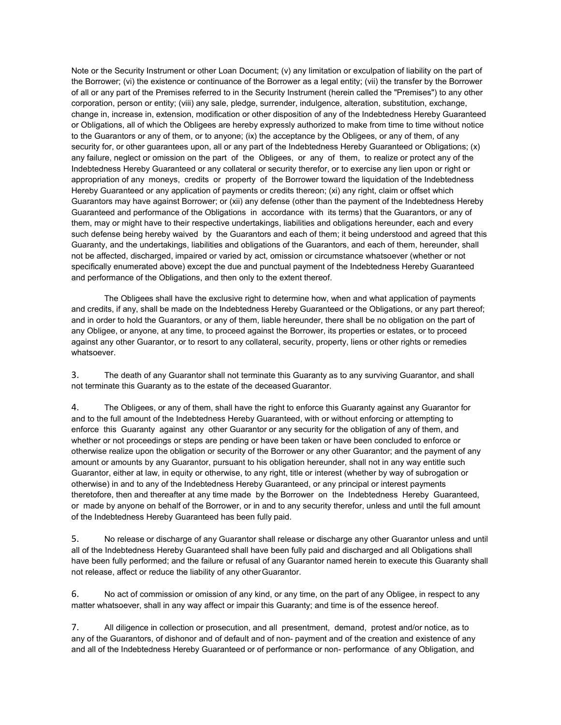Note or the Security Instrument or other Loan Document; (v) any limitation or exculpation of liability on the part of the Borrower; (vi) the existence or continuance of the Borrower as a legal entity; (vii) the transfer by the Borrower of all or any part of the Premises referred to in the Security Instrument (herein called the "Premises") to any other corporation, person or entity; (viii) any sale, pledge, surrender, indulgence, alteration, substitution, exchange, change in, increase in, extension, modification or other disposition of any of the Indebtedness Hereby Guaranteed or Obligations, all of which the Obligees are hereby expressly authorized to make from time to time without notice to the Guarantors or any of them, or to anyone; (ix) the acceptance by the Obligees, or any of them, of any security for, or other guarantees upon, all or any part of the Indebtedness Hereby Guaranteed or Obligations; (x) any failure, neglect or omission on the part of the Obligees, or any of them, to realize or protect any of the Indebtedness Hereby Guaranteed or any collateral or security therefor, or to exercise any lien upon or right or appropriation of any moneys, credits or property of the Borrower toward the liquidation of the Indebtedness Hereby Guaranteed or any application of payments or credits thereon; (xi) any right, claim or offset which Guarantors may have against Borrower; or (xii) any defense (other than the payment of the Indebtedness Hereby Guaranteed and performance of the Obligations in accordance with its terms) that the Guarantors, or any of them, may or might have to their respective undertakings, liabilities and obligations hereunder, each and every such defense being hereby waived by the Guarantors and each of them; it being understood and agreed that this Guaranty, and the undertakings, liabilities and obligations of the Guarantors, and each of them, hereunder, shall not be affected, discharged, impaired or varied by act, omission or circumstance whatsoever (whether or not specifically enumerated above) except the due and punctual payment of the Indebtedness Hereby Guaranteed and performance of the Obligations, and then only to the extent thereof.

The Obligees shall have the exclusive right to determine how, when and what application of payments and credits, if any, shall be made on the Indebtedness Hereby Guaranteed or the Obligations, or any part thereof; and in order to hold the Guarantors, or any of them, liable hereunder, there shall be no obligation on the part of any Obligee, or anyone, at any time, to proceed against the Borrower, its properties or estates, or to proceed against any other Guarantor, or to resort to any collateral, security, property, liens or other rights or remedies whatsoever.

3. The death of any Guarantor shall not terminate this Guaranty as to any surviving Guarantor, and shall not terminate this Guaranty as to the estate of the deceased Guarantor.

4. The Obligees, or any of them, shall have the right to enforce this Guaranty against any Guarantor for and to the full amount of the Indebtedness Hereby Guaranteed, with or without enforcing or attempting to enforce this Guaranty against any other Guarantor or any security for the obligation of any of them, and whether or not proceedings or steps are pending or have been taken or have been concluded to enforce or otherwise realize upon the obligation or security of the Borrower or any other Guarantor; and the payment of any amount or amounts by any Guarantor, pursuant to his obligation hereunder, shall not in any way entitle such Guarantor, either at law, in equity or otherwise, to any right, title or interest (whether by way of subrogation or otherwise) in and to any of the Indebtedness Hereby Guaranteed, or any principal or interest payments theretofore, then and thereafter at any time made by the Borrower on the Indebtedness Hereby Guaranteed, or made by anyone on behalf of the Borrower, or in and to any security therefor, unless and until the full amount of the Indebtedness Hereby Guaranteed has been fully paid.

5. No release or discharge of any Guarantor shall release or discharge any other Guarantor unless and until all of the Indebtedness Hereby Guaranteed shall have been fully paid and discharged and all Obligations shall have been fully performed; and the failure or refusal of any Guarantor named herein to execute this Guaranty shall not release, affect or reduce the liability of any otherGuarantor.

6. No act of commission or omission of any kind, or any time, on the part of any Obligee, in respect to any matter whatsoever, shall in any way affect or impair this Guaranty; and time is of the essence hereof.

7. All diligence in collection or prosecution, and all presentment, demand, protest and/or notice, as to any of the Guarantors, of dishonor and of default and of non- payment and of the creation and existence of any and all of the Indebtedness Hereby Guaranteed or of performance or non- performance of any Obligation, and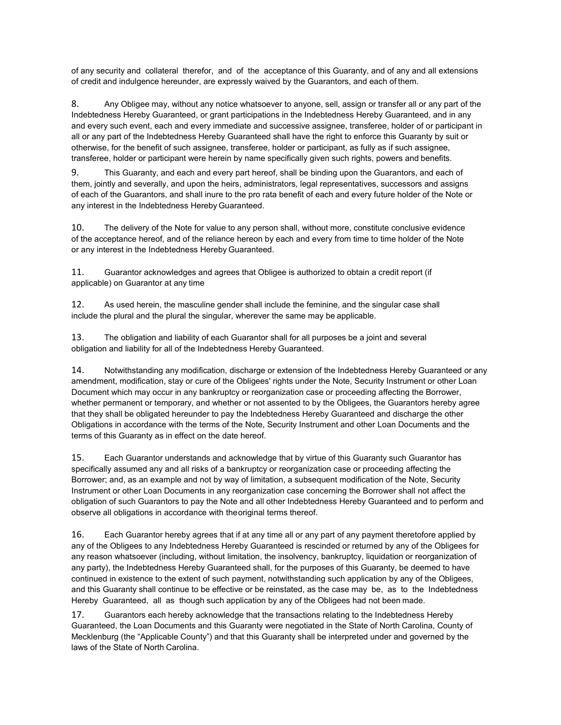of any security and collateral therefor, and of the acceptance of this Guaranty, and of any and all extensions of credit and indulgence hereunder, are expressly waived by the Guarantors, and each of them.

8. Any Obligee may, without any notice whatsoever to anyone, sell, assign or transfer all or any part of the Indebtedness Hereby Guaranteed, or grant participations in the Indebtedness Hereby Guaranteed, and in any and every such event, each and every immediate and successive assignee, transferee, holder of or participant in all or any part of the Indebtedness Hereby Guaranteed shall have the right to enforce this Guaranty by suit or otherwise, for the benefit of such assignee, transferee, holder or participant, as fully as if such assignee, transferee, holder or participant were herein by name specifically given such rights, powers and benefits.

9. This Guaranty, and each and every part hereof, shall be binding upon the Guarantors, and each of them, jointly and severally, and upon the heirs, administrators, legal representatives, successors and assigns of each of the Guarantors, and shall inure to the pro rata benefit of each and every future holder of the Note or any interest in the Indebtedness Hereby Guaranteed.

10. The delivery of the Note for value to any person shall, without more, constitute conclusive evidence of the acceptance hereof, and of the reliance hereon by each and every from time to time holder of the Note or any interest in the Indebtedness Hereby Guaranteed.

11. Guarantor acknowledges and agrees that Obligee is authorized to obtain a credit report (if applicable) on Guarantor at any time

12. As used herein, the masculine gender shall include the feminine, and the singular case shall include the plural and the plural the singular, wherever the same may be applicable.

13. The obligation and liability of each Guarantor shall for all purposes be a joint and several obligation and liability for all of the Indebtedness Hereby Guaranteed.

14. Notwithstanding any modification, discharge or extension of the Indebtedness Hereby Guaranteed or any amendment, modification, stay or cure of the Obligees' rights under the Note, Security Instrument or other Loan Document which may occur in any bankruptcy or reorganization case or proceeding affecting the Borrower, whether permanent or temporary, and whether or not assented to by the Obligees, the Guarantors hereby agree that they shall be obligated hereunder to pay the Indebtedness Hereby Guaranteed and discharge the other Obligations in accordance with the terms of the Note, Security Instrument and other Loan Documents and the terms of this Guaranty as in effect on the date hereof.

15. Each Guarantor understands and acknowledge that by virtue of this Guaranty such Guarantor has specifically assumed any and all risks of a bankruptcy or reorganization case or proceeding affecting the Borrower; and, as an example and not by way of limitation, a subsequent modification of the Note, Security Instrument or other Loan Documents in any reorganization case concerning the Borrower shall not affect the obligation of such Guarantors to pay the Note and all other Indebtedness Hereby Guaranteed and to perform and observe all obligations in accordance with theoriginal terms thereof.

16. Each Guarantor hereby agrees that if at any time all or any part of any payment theretofore applied by any of the Obligees to any Indebtedness Hereby Guaranteed is rescinded or returned by any of the Obligees for any reason whatsoever (including, without limitation, the insolvency, bankruptcy, liquidation or reorganization of any party), the Indebtedness Hereby Guaranteed shall, for the purposes of this Guaranty, be deemed to have continued in existence to the extent of such payment, notwithstanding such application by any of the Obligees, and this Guaranty shall continue to be effective or be reinstated, as the case may be, as to the Indebtedness Hereby Guaranteed, all as though such application by any of the Obligees had not been made.

17. Guarantors each hereby acknowledge that the transactions relating to the Indebtedness Hereby Guaranteed, the Loan Documents and this Guaranty were negotiated in the State of North Carolina, County of Mecklenburg (the "Applicable County") and that this Guaranty shall be interpreted under and governed by the laws of the State of North Carolina.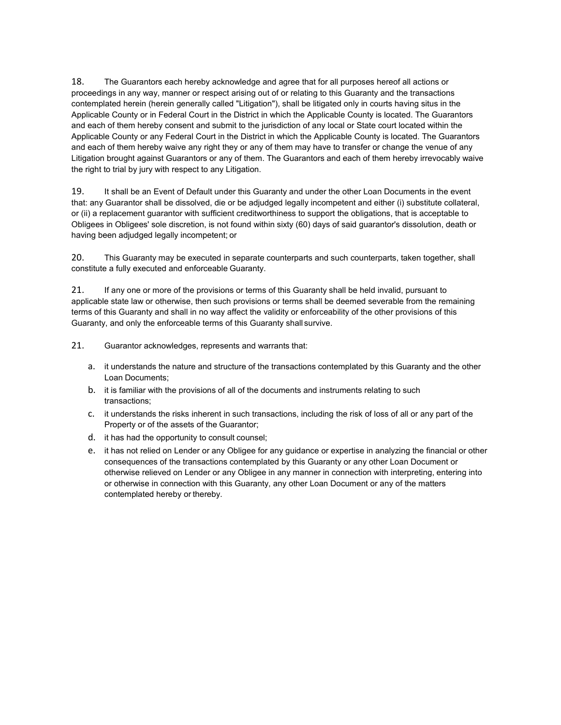18. The Guarantors each hereby acknowledge and agree that for all purposes hereof all actions or proceedings in any way, manner or respect arising out of or relating to this Guaranty and the transactions contemplated herein (herein generally called "Litigation"), shall be litigated only in courts having situs in the Applicable County or in Federal Court in the District in which the Applicable County is located. The Guarantors and each of them hereby consent and submit to the jurisdiction of any local or State court located within the Applicable County or any Federal Court in the District in which the Applicable County is located. The Guarantors and each of them hereby waive any right they or any of them may have to transfer or change the venue of any Litigation brought against Guarantors or any of them. The Guarantors and each of them hereby irrevocably waive the right to trial by jury with respect to any Litigation.

19. It shall be an Event of Default under this Guaranty and under the other Loan Documents in the event that: any Guarantor shall be dissolved, die or be adjudged legally incompetent and either (i) substitute collateral, or (ii) a replacement guarantor with sufficient creditworthiness to support the obligations, that is acceptable to Obligees in Obligees' sole discretion, is not found within sixty (60) days of said guarantor's dissolution, death or having been adjudged legally incompetent; or

20. This Guaranty may be executed in separate counterparts and such counterparts, taken together, shall constitute a fully executed and enforceable Guaranty.

21. If any one or more of the provisions or terms of this Guaranty shall be held invalid, pursuant to applicable state law or otherwise, then such provisions or terms shall be deemed severable from the remaining terms of this Guaranty and shall in no way affect the validity or enforceability of the other provisions of this Guaranty, and only the enforceable terms of this Guaranty shall survive.

21. Guarantor acknowledges, represents and warrants that:

- a. it understands the nature and structure of the transactions contemplated by this Guaranty and the other Loan Documents;
- b. it is familiar with the provisions of all of the documents and instruments relating to such transactions;
- c. it understands the risks inherent in such transactions, including the risk of loss of all or any part of the Property or of the assets of the Guarantor;
- d. it has had the opportunity to consult counsel;
- e. it has not relied on Lender or any Obligee for any guidance or expertise in analyzing the financial or other consequences of the transactions contemplated by this Guaranty or any other Loan Document or otherwise relieved on Lender or any Obligee in any manner in connection with interpreting, entering into or otherwise in connection with this Guaranty, any other Loan Document or any of the matters contemplated hereby or thereby.